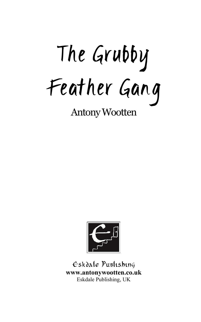The Grubby Feather Gang

Antony Wootten



Eskdale Publishing **www.antonywootten.co.uk** Eskdale Publishing, UK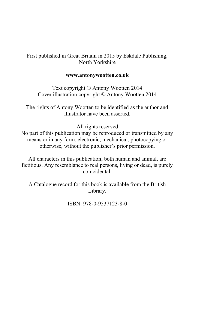## First published in Great Britain in 2015 by Eskdale Publishing, North Yorkshire

### **www.antonywootten.co.uk**

Text copyright © Antony Wootten 2014 Cover illustration copyright © Antony Wootten 2014

The rights of Antony Wootten to be identified as the author and illustrator have been asserted.

### All rights reserved

No part of this publication may be reproduced or transmitted by any means or in any form, electronic, mechanical, photocopying or otherwise, without the publisher's prior permission.

All characters in this publication, both human and animal, are fictitious. Any resemblance to real persons, living or dead, is purely coincidental.

A Catalogue record for this book is available from the British Library.

ISBN: 978-0-9537123-8-0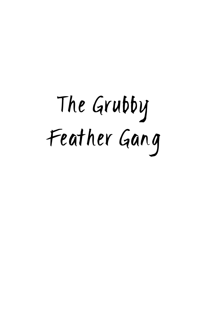# The Grubby Feather Gang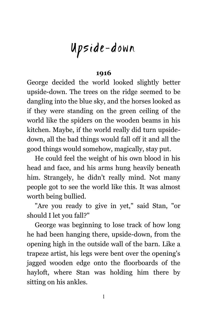# Upside-down

## **1916**

George decided the world looked slightly better upside-down. The trees on the ridge seemed to be dangling into the blue sky, and the horses looked as if they were standing on the green ceiling of the world like the spiders on the wooden beams in his kitchen. Maybe, if the world really did turn upsidedown, all the bad things would fall off it and all the good things would somehow, magically, stay put.

He could feel the weight of his own blood in his head and face, and his arms hung heavily beneath him. Strangely, he didn't really mind. Not many people got to see the world like this. It was almost worth being bullied.

"Are you ready to give in yet," said Stan, "or should I let you fall?"

George was beginning to lose track of how long he had been hanging there, upside-down, from the opening high in the outside wall of the barn. Like a trapeze artist, his legs were bent over the opening's jagged wooden edge onto the floorboards of the hayloft, where Stan was holding him there by sitting on his ankles.

1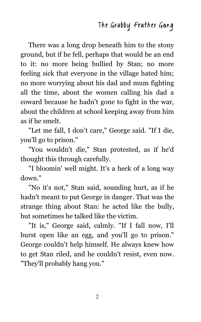There was a long drop beneath him to the stony ground, but if he fell, perhaps that would be an end to it: no more being bullied by Stan; no more feeling sick that everyone in the village hated him; no more worrying about his dad and mum fighting all the time, about the women calling his dad a coward because he hadn't gone to fight in the war, about the children at school keeping away from him as if he smelt.

"Let me fall, I don't care," George said. "If I die, you'll go to prison."

"You wouldn't die," Stan protested, as if he'd thought this through carefully.

"I bloomin' well might. It's a heck of a long way down."

"No it's not," Stan said, sounding hurt, as if he hadn't meant to put George in danger. That was the strange thing about Stan: he acted like the bully, but sometimes he talked like the victim.

"It is," George said, calmly. "If I fall now, I'll burst open like an egg, and you'll go to prison." George couldn't help himself. He always knew how to get Stan riled, and he couldn't resist, even now. "They'll probably hang you."

2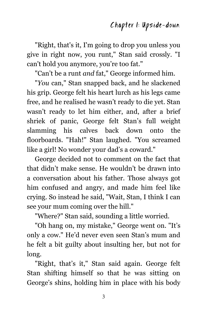## Chapter 1: Upside-down

"Right, that's it, I'm going to drop you unless you give in right now, you runt," Stan said crossly. "I can't hold you anymore, you're too fat."

"Can't be a runt *and* fat," George informed him.

"*You* can," Stan snapped back, and he slackened his grip. George felt his heart lurch as his legs came free, and he realised he wasn't ready to die yet. Stan wasn't ready to let him either, and, after a brief shriek of panic, George felt Stan's full weight slamming his calves back down onto the floorboards. "Hah!" Stan laughed. "You screamed like a girl! No wonder your dad's a coward."

George decided not to comment on the fact that that didn't make sense. He wouldn't be drawn into a conversation about his father. Those always got him confused and angry, and made him feel like crying. So instead he said, "Wait, Stan, I think I can see your mum coming over the hill."

"Where?" Stan said, sounding a little worried.

"Oh hang on, my mistake," George went on. "It's only a cow." He'd never even seen Stan's mum and he felt a bit guilty about insulting her, but not for long.

"Right, that's it," Stan said again. George felt Stan shifting himself so that he was sitting on George's shins, holding him in place with his body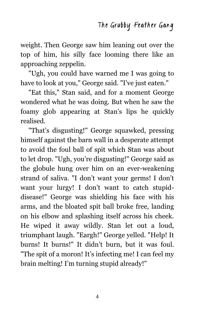weight. Then George saw him leaning out over the top of him, his silly face looming there like an approaching zeppelin.

"Ugh, you could have warned me I was going to have to look at you," George said. "I've just eaten."

"Eat this," Stan said, and for a moment George wondered what he was doing. But when he saw the foamy glob appearing at Stan's lips he quickly realised.

"That's disgusting!" George squawked, pressing himself against the barn wall in a desperate attempt to avoid the foul ball of spit which Stan was about to let drop. "Ugh, you're disgusting!" George said as the globule hung over him on an ever-weakening strand of saliva. "I don't want your germs! I don't want your lurgy! I don't want to catch stupiddisease!" George was shielding his face with his arms, and the bloated spit ball broke free, landing on his elbow and splashing itself across his cheek. He wiped it away wildly. Stan let out a loud, triumphant laugh. "Eargh!" George yelled. "Help! It burns! It burns!" It didn't burn, but it was foul. "The spit of a moron! It's infecting me! I can feel my brain melting! I'm turning stupid already!"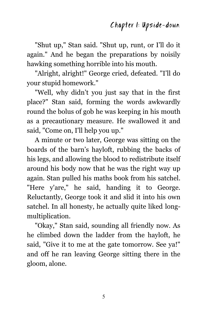"Shut up," Stan said. "Shut up, runt, or I'll do it again." And he began the preparations by noisily hawking something horrible into his mouth.

"Alright, alright!" George cried, defeated. "I'll do your stupid homework."

"Well, why didn't you just say that in the first place?" Stan said, forming the words awkwardly round the bolus of gob he was keeping in his mouth as a precautionary measure. He swallowed it and said, "Come on, I'll help you up."

A minute or two later, George was sitting on the boards of the barn's hayloft, rubbing the backs of his legs, and allowing the blood to redistribute itself around his body now that he was the right way up again. Stan pulled his maths book from his satchel. "Here y'are," he said, handing it to George. Reluctantly, George took it and slid it into his own satchel. In all honesty, he actually quite liked longmultiplication.

"Okay," Stan said, sounding all friendly now. As he climbed down the ladder from the hayloft, he said, "Give it to me at the gate tomorrow. See ya!" and off he ran leaving George sitting there in the gloom, alone.

5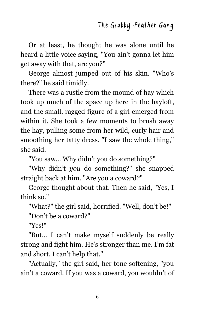Or at least, he thought he was alone until he heard a little voice saying, "You ain't gonna let him get away with that, are you?"

George almost jumped out of his skin. "Who's there?" he said timidly.

There was a rustle from the mound of hay which took up much of the space up here in the hayloft, and the small, ragged figure of a girl emerged from within it. She took a few moments to brush away the hay, pulling some from her wild, curly hair and smoothing her tatty dress. "I saw the whole thing," she said.

"You saw… Why didn't you do something?"

"Why didn't *you* do something?" she snapped straight back at him. "Are you a coward?"

George thought about that. Then he said, "Yes, I think so."

"What?" the girl said, horrified. "Well, don't be!"

"Don't be a coward?"

"Yes!"

"But… I can't make myself suddenly be really strong and fight him. He's stronger than me. I'm fat and short. I can't help that."

"Actually," the girl said, her tone softening, "you ain't a coward. If you was a coward, you wouldn't of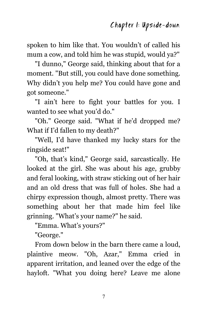spoken to him like that. You wouldn't of called his mum a cow, and told him he was stupid, would ya?"

"I dunno," George said, thinking about that for a moment. "But still, you could have done something. Why didn't you help me? You could have gone and got someone."

"I ain't here to fight your battles for you. I wanted to see what you'd do."

"Oh." George said. "What if he'd dropped me? What if I'd fallen to my death?"

"Well, I'd have thanked my lucky stars for the ringside seat!"

"Oh, that's kind," George said, sarcastically. He looked at the girl. She was about his age, grubby and feral looking, with straw sticking out of her hair and an old dress that was full of holes. She had a chirpy expression though, almost pretty. There was something about her that made him feel like grinning. "What's your name?" he said.

"Emma. What's yours?"

"George."

From down below in the barn there came a loud, plaintive meow. "Oh, Azar," Emma cried in apparent irritation, and leaned over the edge of the hayloft. "What you doing here? Leave me alone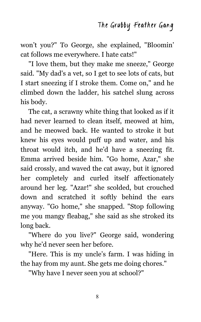won't you?" To George, she explained, "Bloomin' cat follows me everywhere. I hate cats!"

"I love them, but they make me sneeze," George said. "My dad's a vet, so I get to see lots of cats, but I start sneezing if I stroke them. Come on," and he climbed down the ladder, his satchel slung across his body.

The cat, a scrawny white thing that looked as if it had never learned to clean itself, meowed at him, and he meowed back. He wanted to stroke it but knew his eyes would puff up and water, and his throat would itch, and he'd have a sneezing fit. Emma arrived beside him. "Go home, Azar," she said crossly, and waved the cat away, but it ignored her completely and curled itself affectionately around her leg. "Azar!" she scolded, but crouched down and scratched it softly behind the ears anyway. "Go home," she snapped. "Stop following me you mangy fleabag," she said as she stroked its long back.

"Where do you live?" George said, wondering why he'd never seen her before.

"Here. This is my uncle's farm. I was hiding in the hay from my aunt. She gets me doing chores."

"Why have I never seen you at school?"